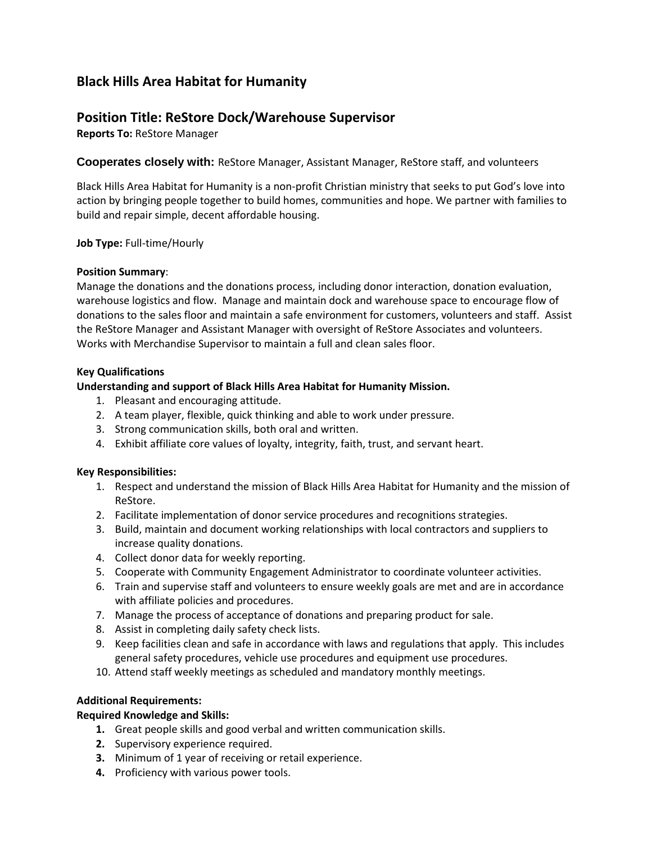# **Black Hills Area Habitat for Humanity**

# **Position Title: ReStore Dock/Warehouse Supervisor**

**Reports To:** ReStore Manager

**Cooperates closely with:** ReStore Manager, Assistant Manager, ReStore staff, and volunteers

Black Hills Area Habitat for Humanity is a non-profit Christian ministry that seeks to put God's love into action by bringing people together to build homes, communities and hope. We partner with families to build and repair simple, decent affordable housing.

#### **Job Type:** Full-time/Hourly

#### **Position Summary**:

Manage the donations and the donations process, including donor interaction, donation evaluation, warehouse logistics and flow. Manage and maintain dock and warehouse space to encourage flow of donations to the sales floor and maintain a safe environment for customers, volunteers and staff. Assist the ReStore Manager and Assistant Manager with oversight of ReStore Associates and volunteers. Works with Merchandise Supervisor to maintain a full and clean sales floor.

# **Key Qualifications**

# **Understanding and support of Black Hills Area Habitat for Humanity Mission.**

- 1. Pleasant and encouraging attitude.
- 2. A team player, flexible, quick thinking and able to work under pressure.
- 3. Strong communication skills, both oral and written.
- 4. Exhibit affiliate core values of loyalty, integrity, faith, trust, and servant heart.

#### **Key Responsibilities:**

- 1. Respect and understand the mission of Black Hills Area Habitat for Humanity and the mission of ReStore.
- 2. Facilitate implementation of donor service procedures and recognitions strategies.
- 3. Build, maintain and document working relationships with local contractors and suppliers to increase quality donations.
- 4. Collect donor data for weekly reporting.
- 5. Cooperate with Community Engagement Administrator to coordinate volunteer activities.
- 6. Train and supervise staff and volunteers to ensure weekly goals are met and are in accordance with affiliate policies and procedures.
- 7. Manage the process of acceptance of donations and preparing product for sale.
- 8. Assist in completing daily safety check lists.
- 9. Keep facilities clean and safe in accordance with laws and regulations that apply. This includes general safety procedures, vehicle use procedures and equipment use procedures.
- 10. Attend staff weekly meetings as scheduled and mandatory monthly meetings.

#### **Additional Requirements:**

#### **Required Knowledge and Skills:**

- **1.** Great people skills and good verbal and written communication skills.
- **2.** Supervisory experience required.
- **3.** Minimum of 1 year of receiving or retail experience.
- **4.** Proficiency with various power tools.